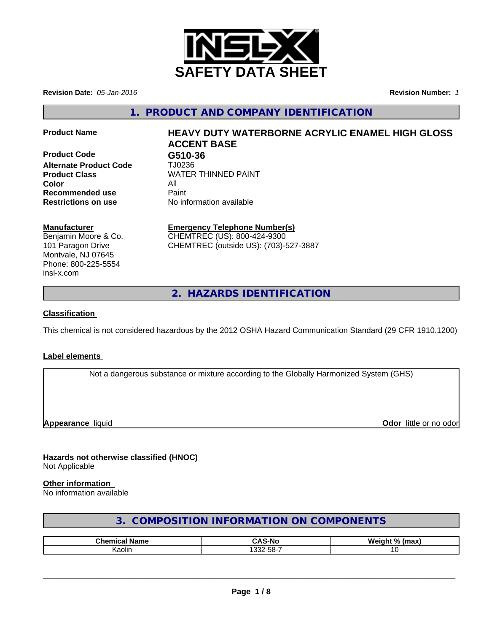

**Revision Date:** *05-Jan-2016* **Revision Number:** *1*

**1. PRODUCT AND COMPANY IDENTIFICATION**

**Product Code G510-36 Alternate Product Code** TJ0236 **Color** All **Recommended use Paint Restrictions on use** No information available

# **Product Name HEAVY DUTY WATERBORNE ACRYLIC ENAMEL HIGH GLOSS ACCENT BASE**

**Product Class** WATER THINNED PAINT

## **Manufacturer**

Benjamin Moore & Co. 101 Paragon Drive Montvale, NJ 07645 Phone: 800-225-5554 insl-x.com

## **Emergency Telephone Number(s)**

CHEMTREC (US): 800-424-9300 CHEMTREC (outside US): (703)-527-3887

**2. HAZARDS IDENTIFICATION**

## **Classification**

This chemical is not considered hazardous by the 2012 OSHA Hazard Communication Standard (29 CFR 1910.1200)

## **Label elements**

Not a dangerous substance or mixture according to the Globally Harmonized System (GHS)

**Appearance** liquid **Odor in the original of the original of the original of the original of the original of the original of the original of the original of the original of the original of the original of the original of t** 

## **Hazards not otherwise classified (HNOC)** Not Applicable

## **Other information**

No information available

## **3. COMPOSITION INFORMATION ON COMPONENTS**

| <b>Phom</b> | -NC<br>$\sim$ $\sim$      | W.<br>$\mathbf{a}$ |
|-------------|---------------------------|--------------------|
| Kaolin      | $\sim$<br>$ -$<br>കാ∠-ററ- |                    |

 $\overline{\phantom{a}}$  ,  $\overline{\phantom{a}}$  ,  $\overline{\phantom{a}}$  ,  $\overline{\phantom{a}}$  ,  $\overline{\phantom{a}}$  ,  $\overline{\phantom{a}}$  ,  $\overline{\phantom{a}}$  ,  $\overline{\phantom{a}}$  ,  $\overline{\phantom{a}}$  ,  $\overline{\phantom{a}}$  ,  $\overline{\phantom{a}}$  ,  $\overline{\phantom{a}}$  ,  $\overline{\phantom{a}}$  ,  $\overline{\phantom{a}}$  ,  $\overline{\phantom{a}}$  ,  $\overline{\phantom{a}}$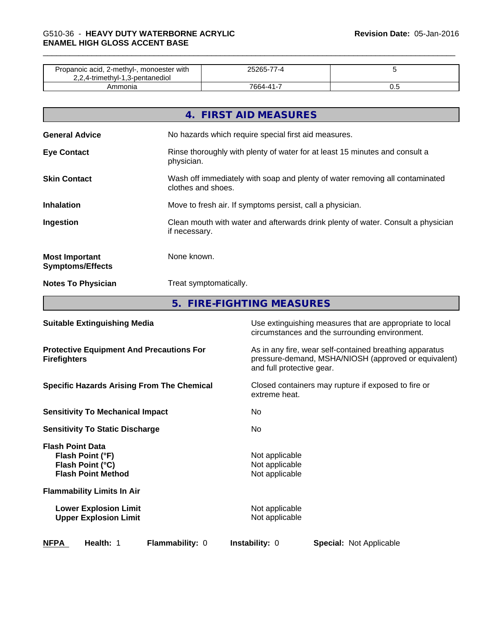| Propanoic acid, 2-methyl-, monoester with<br>2,2,4-trimethyl-1,3-pentanediol |           |     |
|------------------------------------------------------------------------------|-----------|-----|
| mmonia                                                                       | 7664-41-7 | ∪.⊾ |

|                                                  | 4. FIRST AID MEASURES                                                                              |
|--------------------------------------------------|----------------------------------------------------------------------------------------------------|
| <b>General Advice</b>                            | No hazards which require special first aid measures.                                               |
| <b>Eye Contact</b>                               | Rinse thoroughly with plenty of water for at least 15 minutes and consult a<br>physician.          |
| <b>Skin Contact</b>                              | Wash off immediately with soap and plenty of water removing all contaminated<br>clothes and shoes. |
| <b>Inhalation</b>                                | Move to fresh air. If symptoms persist, call a physician.                                          |
| Ingestion                                        | Clean mouth with water and afterwards drink plenty of water. Consult a physician<br>if necessary.  |
| <b>Most Important</b><br><b>Symptoms/Effects</b> | None known.                                                                                        |
| <b>Notes To Physician</b>                        | Treat symptomatically.                                                                             |
|                                                  | 5. FIRE-FIGHTING MEASURES                                                                          |

| <b>Suitable Extinguishing Media</b>                                                          | Use extinguishing measures that are appropriate to local<br>circumstances and the surrounding environment.                                   |
|----------------------------------------------------------------------------------------------|----------------------------------------------------------------------------------------------------------------------------------------------|
| <b>Protective Equipment And Precautions For</b><br><b>Firefighters</b>                       | As in any fire, wear self-contained breathing apparatus<br>pressure-demand, MSHA/NIOSH (approved or equivalent)<br>and full protective gear. |
| <b>Specific Hazards Arising From The Chemical</b>                                            | Closed containers may rupture if exposed to fire or<br>extreme heat.                                                                         |
| <b>Sensitivity To Mechanical Impact</b>                                                      | No.                                                                                                                                          |
| <b>Sensitivity To Static Discharge</b>                                                       | No.                                                                                                                                          |
| <b>Flash Point Data</b><br>Flash Point (°F)<br>Flash Point (°C)<br><b>Flash Point Method</b> | Not applicable<br>Not applicable<br>Not applicable                                                                                           |
| <b>Flammability Limits In Air</b>                                                            |                                                                                                                                              |
| <b>Lower Explosion Limit</b><br><b>Upper Explosion Limit</b>                                 | Not applicable<br>Not applicable                                                                                                             |
| <b>NFPA</b><br>Health: 1<br>Flammability: 0                                                  | <b>Instability: 0</b><br><b>Special: Not Applicable</b>                                                                                      |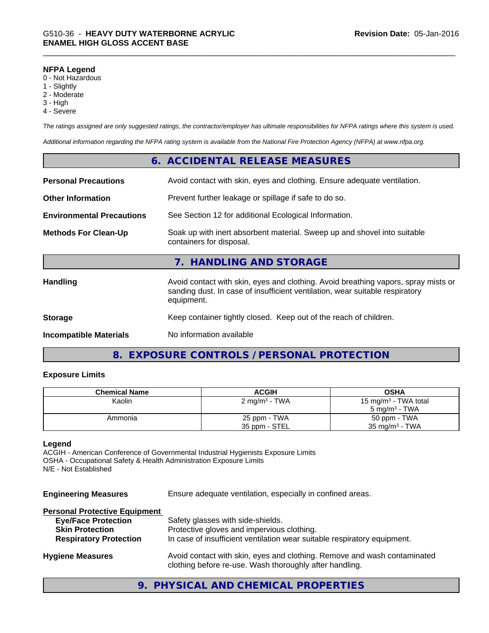#### **NFPA Legend**

- 0 Not Hazardous
- 1 Slightly
- 2 Moderate
- 3 High
- 4 Severe

*The ratings assigned are only suggested ratings, the contractor/employer has ultimate responsibilities for NFPA ratings where this system is used.*

*Additional information regarding the NFPA rating system is available from the National Fire Protection Agency (NFPA) at www.nfpa.org.*

|                                  |                                                                          | 6. ACCIDENTAL RELEASE MEASURES                                                                                                                                                   |
|----------------------------------|--------------------------------------------------------------------------|----------------------------------------------------------------------------------------------------------------------------------------------------------------------------------|
| <b>Personal Precautions</b>      | Avoid contact with skin, eyes and clothing. Ensure adequate ventilation. |                                                                                                                                                                                  |
| <b>Other Information</b>         |                                                                          | Prevent further leakage or spillage if safe to do so.                                                                                                                            |
| <b>Environmental Precautions</b> | See Section 12 for additional Ecological Information.                    |                                                                                                                                                                                  |
| <b>Methods For Clean-Up</b>      |                                                                          | Soak up with inert absorbent material. Sweep up and shovel into suitable<br>containers for disposal.                                                                             |
|                                  |                                                                          | 7. HANDLING AND STORAGE                                                                                                                                                          |
| <b>Handling</b>                  |                                                                          | Avoid contact with skin, eyes and clothing. Avoid breathing vapors, spray mists or<br>sanding dust. In case of insufficient ventilation, wear suitable respiratory<br>equipment. |
| <b>Storage</b>                   |                                                                          | Keep container tightly closed. Keep out of the reach of children.                                                                                                                |
| <b>Incompatible Materials</b>    |                                                                          | No information available                                                                                                                                                         |

## **8. EXPOSURE CONTROLS / PERSONAL PROTECTION**

#### **Exposure Limits**

| <b>Chemical Name</b> | ACGIH                     | <b>OSHA</b>                      |
|----------------------|---------------------------|----------------------------------|
| Kaolin               | 2 mg/m <sup>3</sup> - TWA | 15 mg/m <sup>3</sup> - TWA total |
|                      |                           | $5 \text{ ma/m}^3$ - TWA         |
| Ammonia              | 25 ppm - TWA              | 50 ppm - TWA                     |
|                      | 35 ppm - STEL             | $35 \text{ mg/m}^3$ - TWA        |

## **Legend**

ACGIH - American Conference of Governmental Industrial Hygienists Exposure Limits OSHA - Occupational Safety & Health Administration Exposure Limits N/E - Not Established

**Engineering Measures** Ensure adequate ventilation, especially in confined areas.

## **Personal Protective Equipment**

| <b>Eye/Face Protection</b>    | Safety glasses with side-shields.                                                                                                   |
|-------------------------------|-------------------------------------------------------------------------------------------------------------------------------------|
| <b>Skin Protection</b>        | Protective gloves and impervious clothing.                                                                                          |
| <b>Respiratory Protection</b> | In case of insufficient ventilation wear suitable respiratory equipment.                                                            |
| <b>Hygiene Measures</b>       | Avoid contact with skin, eyes and clothing. Remove and wash contaminated<br>clothing before re-use. Wash thoroughly after handling. |

## **9. PHYSICAL AND CHEMICAL PROPERTIES**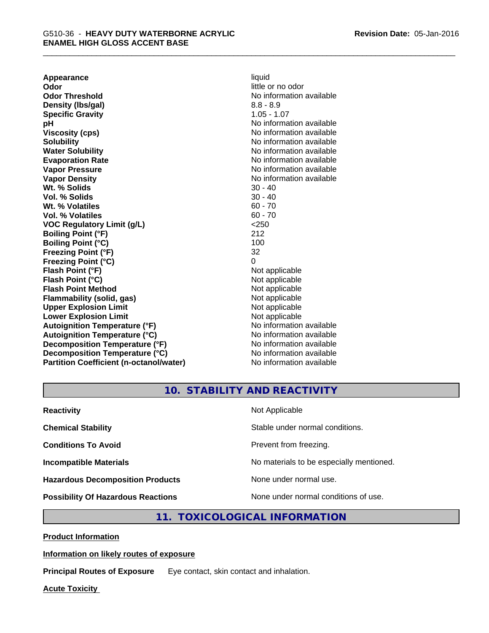**Appearance** liquid **Odor** little or no odor **Odor Threshold No information available No information available Density (lbs/gal)** 8.8 - 8.9 **Specific Gravity** 1.05 - 1.07 **pH** No information available **Viscosity (cps)** No information available **Solubility Note 2008 Note 2008 Note 2008 Note 2008 Note 2008 Note 2008 Note 2008 Note 2008 Note 2008 Note 2008 Note 2008 Note 2008 Note 2008 Note 2008 Note 2008 Note 2008 Note 2008 Note Water Solubility Water Solubility Water Solubility No information available Evaporation Rate No information available No information available Vapor Pressure** No information available **Vapor Density Vapor Density No information available Wt. % Solids** 30 - 40 **Vol. % Solids** 30 - 40 **Wt. % Volatiles** 60 - 70 **Vol. % Volatiles** 60 - 70 **VOC Regulatory Limit (g/L)** <250 **Boiling Point (°F)** 212 **Boiling Point (°C)** 100 **Freezing Point (°F)** 32 **Freezing Point (°C)** 0 **Flash Point (°F)** Not applicable **Flash Point (°C)** Not applicable **Flash Point Method** Not applicable **Flammability (solid, gas)** Not applicable **Upper Explosion Limit** Not applicable **Lower Explosion Limit**<br> **Autoignition Temperature (°F)**<br> **Autoignition Temperature (°F)**<br> **Autoignition Temperature (°F)**<br> **Autoignition Temperature (°F)** Autoignition Temperature (°F)<br> **Autoignition Temperature (°C)**<br>
No information available **Autoignition Temperature (°C) Decomposition Temperature (°F)** No information available **Decomposition Temperature (°C)** No information available **Partition Coefficient (n-octanol/water)** No information available

**10. STABILITY AND REACTIVITY**

| <b>Reactivity</b>                         | Not Applicable                           |
|-------------------------------------------|------------------------------------------|
| <b>Chemical Stability</b>                 | Stable under normal conditions.          |
| <b>Conditions To Avoid</b>                | Prevent from freezing.                   |
| <b>Incompatible Materials</b>             | No materials to be especially mentioned. |
| <b>Hazardous Decomposition Products</b>   | None under normal use.                   |
| <b>Possibility Of Hazardous Reactions</b> | None under normal conditions of use.     |

## **11. TOXICOLOGICAL INFORMATION**

**Product Information**

## **Information on likely routes of exposure**

**Principal Routes of Exposure** Eye contact, skin contact and inhalation.

**Acute Toxicity**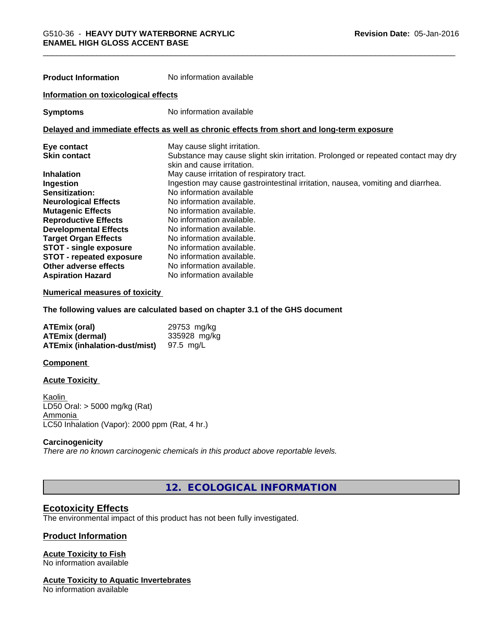| <b>Product Information</b>           | No information available                                                                                        |  |
|--------------------------------------|-----------------------------------------------------------------------------------------------------------------|--|
| Information on toxicological effects |                                                                                                                 |  |
| <b>Symptoms</b>                      | No information available                                                                                        |  |
|                                      | Delayed and immediate effects as well as chronic effects from short and long-term exposure                      |  |
| Eye contact                          | May cause slight irritation.                                                                                    |  |
| <b>Skin contact</b>                  | Substance may cause slight skin irritation. Prolonged or repeated contact may dry<br>skin and cause irritation. |  |
| <b>Inhalation</b>                    | May cause irritation of respiratory tract.                                                                      |  |
| Ingestion                            | Ingestion may cause gastrointestinal irritation, nausea, vomiting and diarrhea.                                 |  |
| Sensitization:                       | No information available                                                                                        |  |
| <b>Neurological Effects</b>          | No information available.                                                                                       |  |
| <b>Mutagenic Effects</b>             | No information available.                                                                                       |  |
| <b>Reproductive Effects</b>          | No information available.                                                                                       |  |
| <b>Developmental Effects</b>         | No information available.                                                                                       |  |
| <b>Target Organ Effects</b>          | No information available.                                                                                       |  |
| <b>STOT - single exposure</b>        | No information available.                                                                                       |  |
| <b>STOT - repeated exposure</b>      | No information available.                                                                                       |  |
| Other adverse effects                | No information available.                                                                                       |  |

#### **Numerical measures of toxicity**

**The following values are calculated based on chapter 3.1 of the GHS document**

| <b>ATEmix (oral)</b>                 | 29753 mg/kg  |
|--------------------------------------|--------------|
| <b>ATEmix (dermal)</b>               | 335928 mg/kg |
| <b>ATEmix (inhalation-dust/mist)</b> | 97.5 mg/L    |

**Aspiration Hazard** No information available

#### **Component**

#### **Acute Toxicity**

Kaolin LD50 Oral: > 5000 mg/kg (Rat) Ammonia LC50 Inhalation (Vapor): 2000 ppm (Rat, 4 hr.)

### **Carcinogenicity**

*There are no known carcinogenic chemicals in this product above reportable levels.*

**12. ECOLOGICAL INFORMATION**

## **Ecotoxicity Effects**

The environmental impact of this product has not been fully investigated.

## **Product Information**

## **Acute Toxicity to Fish**

No information available

## **Acute Toxicity to Aquatic Invertebrates**

No information available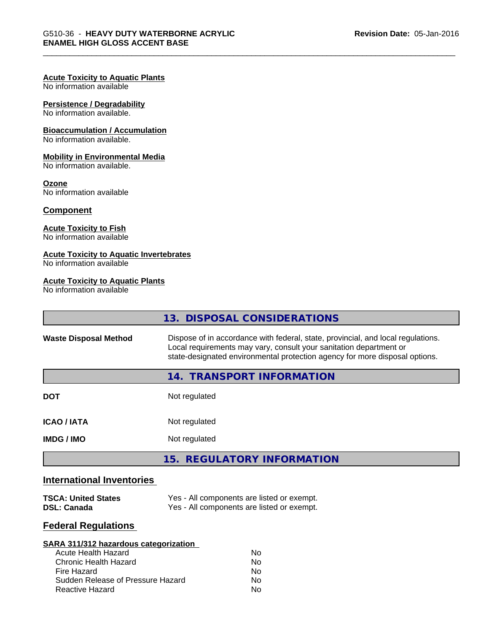#### **Acute Toxicity to Aquatic Plants**

No information available

## **Persistence / Degradability**

No information available.

### **Bioaccumulation / Accumulation**

No information available.

#### **Mobility in Environmental Media**

No information available.

#### **Ozone**

No information available

#### **Component**

## **Acute Toxicity to Fish**

No information available

## **Acute Toxicity to Aquatic Invertebrates**

No information available

## **Acute Toxicity to Aquatic Plants**

No information available

|                              | 13. DISPOSAL CONSIDERATIONS                                                                                                                                                                                                           |  |
|------------------------------|---------------------------------------------------------------------------------------------------------------------------------------------------------------------------------------------------------------------------------------|--|
| <b>Waste Disposal Method</b> | Dispose of in accordance with federal, state, provincial, and local regulations.<br>Local requirements may vary, consult your sanitation department or<br>state-designated environmental protection agency for more disposal options. |  |
|                              | 14. TRANSPORT INFORMATION                                                                                                                                                                                                             |  |
| <b>DOT</b>                   | Not regulated                                                                                                                                                                                                                         |  |
| <b>ICAO/IATA</b>             | Not regulated                                                                                                                                                                                                                         |  |
| <b>IMDG / IMO</b>            | Not regulated                                                                                                                                                                                                                         |  |
|                              | 15. REGULATORY INFORMATION                                                                                                                                                                                                            |  |

## **International Inventories**

| <b>TSCA: United States</b> | Yes - All components are listed or exempt. |
|----------------------------|--------------------------------------------|
| DSL: Canada                | Yes - All components are listed or exempt. |

## **Federal Regulations**

| SARA 311/312 hazardous categorization |    |  |
|---------------------------------------|----|--|
| Acute Health Hazard                   | Nο |  |
| Chronic Health Hazard                 | No |  |
| Fire Hazard                           | Nο |  |
| Sudden Release of Pressure Hazard     | Nο |  |
| Reactive Hazard                       | Nο |  |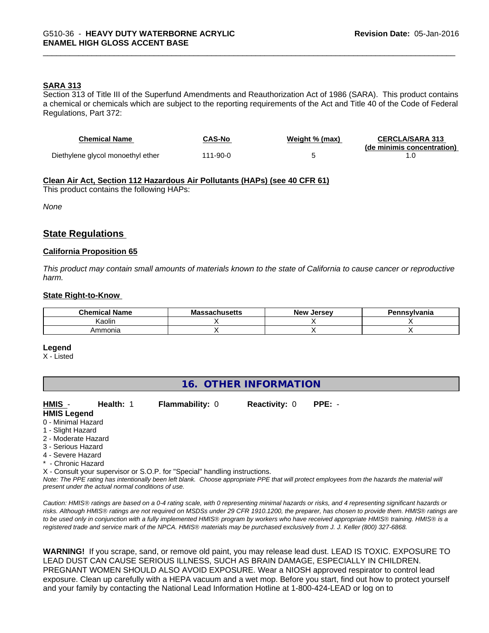## **SARA 313**

Section 313 of Title III of the Superfund Amendments and Reauthorization Act of 1986 (SARA). This product contains a chemical or chemicals which are subject to the reporting requirements of the Act and Title 40 of the Code of Federal Regulations, Part 372:

| <b>Chemical Name</b>              | CAS-No   | Weight % (max) | <b>CERCLA/SARA 313</b><br>(de minimis concentration) |
|-----------------------------------|----------|----------------|------------------------------------------------------|
| Diethylene glycol monoethyl ether | 111-90-0 |                |                                                      |

### **Clean Air Act,Section 112 Hazardous Air Pollutants (HAPs) (see 40 CFR 61)**

This product contains the following HAPs:

*None*

## **State Regulations**

#### **California Proposition 65**

This product may contain small amounts of materials known to the state of California to cause cancer or reproductive *harm.*

#### **State Right-to-Know**

| ' Name<br><b>Chemical</b> | <b>Massachusetts</b> | . .<br>. Jersev<br><b>New</b> | ำทรงIvania |
|---------------------------|----------------------|-------------------------------|------------|
| Kaolin                    |                      |                               |            |
| Ammonia                   |                      |                               |            |

#### **Legend**

X - Listed

## **16. OTHER INFORMATION**

**HMIS** - **Health:** 1 **Flammability:** 0 **Reactivity:** 0 **PPE:** -

- **HMIS Legend**
- 0 Minimal Hazard
- 1 Slight Hazard
- 2 Moderate Hazard
- 3 Serious Hazard
- 4 Severe Hazard
- \* Chronic Hazard

X - Consult your supervisor or S.O.P. for "Special" handling instructions.

*Note: The PPE rating has intentionally been left blank. Choose appropriate PPE that will protect employees from the hazards the material will present under the actual normal conditions of use.*

*Caution: HMISÒ ratings are based on a 0-4 rating scale, with 0 representing minimal hazards or risks, and 4 representing significant hazards or risks. Although HMISÒ ratings are not required on MSDSs under 29 CFR 1910.1200, the preparer, has chosen to provide them. HMISÒ ratings are to be used only in conjunction with a fully implemented HMISÒ program by workers who have received appropriate HMISÒ training. HMISÒ is a registered trade and service mark of the NPCA. HMISÒ materials may be purchased exclusively from J. J. Keller (800) 327-6868.*

**WARNING!** If you scrape, sand, or remove old paint, you may release lead dust. LEAD IS TOXIC. EXPOSURE TO LEAD DUST CAN CAUSE SERIOUS ILLNESS, SUCH AS BRAIN DAMAGE, ESPECIALLY IN CHILDREN. PREGNANT WOMEN SHOULD ALSO AVOID EXPOSURE.Wear a NIOSH approved respirator to control lead exposure. Clean up carefully with a HEPA vacuum and a wet mop. Before you start, find out how to protect yourself and your family by contacting the National Lead Information Hotline at 1-800-424-LEAD or log on to